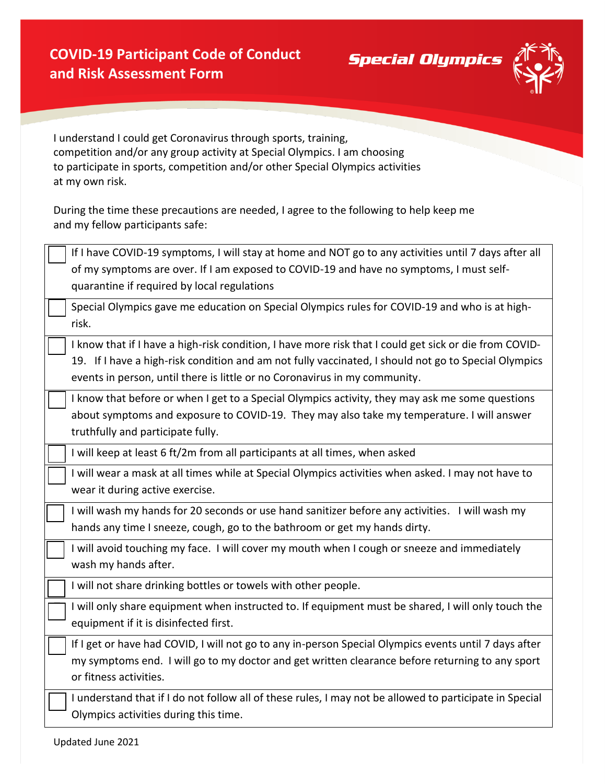**Special Olympics** 



I understand I could get Coronavirus through sports, training, competition and/or any group activity at Special Olympics. I am choosing to participate in sports, competition and/or other Special Olympics activities at my own risk.

During the time these precautions are needed, I agree to the following to help keep me and my fellow participants safe:

| If I have COVID-19 symptoms, I will stay at home and NOT go to any activities until 7 days after all<br>of my symptoms are over. If I am exposed to COVID-19 and have no symptoms, I must self-<br>quarantine if required by local regulations                                               |
|----------------------------------------------------------------------------------------------------------------------------------------------------------------------------------------------------------------------------------------------------------------------------------------------|
| Special Olympics gave me education on Special Olympics rules for COVID-19 and who is at high-<br>risk.                                                                                                                                                                                       |
| I know that if I have a high-risk condition, I have more risk that I could get sick or die from COVID-<br>19. If I have a high-risk condition and am not fully vaccinated, I should not go to Special Olympics<br>events in person, until there is little or no Coronavirus in my community. |
| I know that before or when I get to a Special Olympics activity, they may ask me some questions<br>about symptoms and exposure to COVID-19. They may also take my temperature. I will answer<br>truthfully and participate fully.                                                            |
| I will keep at least 6 ft/2m from all participants at all times, when asked                                                                                                                                                                                                                  |
| I will wear a mask at all times while at Special Olympics activities when asked. I may not have to<br>wear it during active exercise.                                                                                                                                                        |
| I will wash my hands for 20 seconds or use hand sanitizer before any activities. I will wash my<br>hands any time I sneeze, cough, go to the bathroom or get my hands dirty.                                                                                                                 |
| I will avoid touching my face. I will cover my mouth when I cough or sneeze and immediately<br>wash my hands after.                                                                                                                                                                          |
| I will not share drinking bottles or towels with other people.                                                                                                                                                                                                                               |
| I will only share equipment when instructed to. If equipment must be shared, I will only touch the<br>equipment if it is disinfected first.                                                                                                                                                  |
| If I get or have had COVID, I will not go to any in-person Special Olympics events until 7 days after<br>my symptoms end. I will go to my doctor and get written clearance before returning to any sport<br>or fitness activities.                                                           |
| I understand that if I do not follow all of these rules, I may not be allowed to participate in Special<br>Olympics activities during this time.                                                                                                                                             |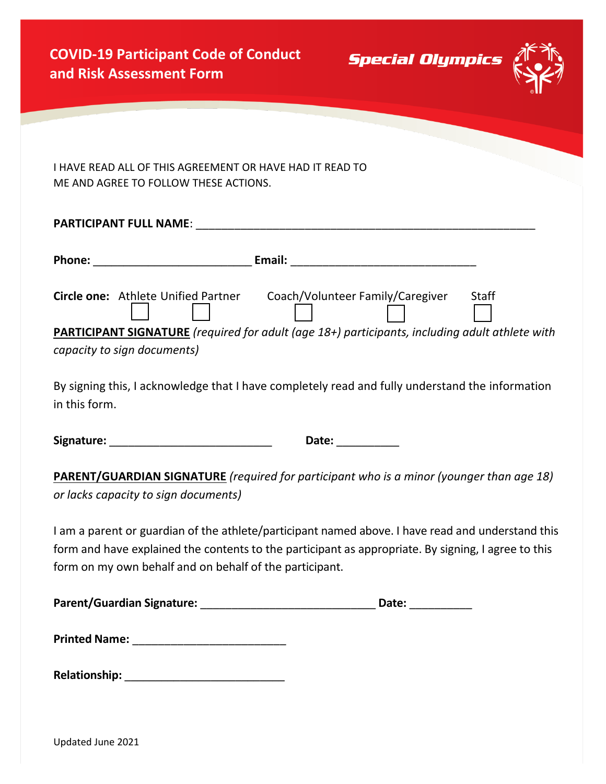**PARTICIPANT FULL NAME**: \_\_\_\_\_\_\_\_\_\_\_\_\_\_\_\_\_\_\_\_\_\_\_\_\_\_\_\_\_\_\_\_\_\_\_\_\_\_\_\_\_\_\_\_\_\_\_\_\_\_\_\_\_

**Special Olympics** 



I HAVE READ ALL OF THIS AGREEMENT OR HAVE HAD IT READ TO ME AND AGREE TO FOLLOW THESE ACTIONS.

| PARTICIPANT FULL NAIVIE. |                                     |                                                                                                       |              |  |  |
|--------------------------|-------------------------------------|-------------------------------------------------------------------------------------------------------|--------------|--|--|
| <b>Phone:</b>            |                                     | Email:                                                                                                |              |  |  |
|                          | Circle one: Athlete Unified Partner | Coach/Volunteer Family/Caregiver                                                                      | <b>Staff</b> |  |  |
|                          | capacity to sign documents)         | <b>PARTICIPANT SIGNATURE</b> (required for adult (age 18+) participants, including adult athlete with |              |  |  |

By signing this, I acknowledge that I have completely read and fully understand the information in this form.

**Signature:** \_\_\_\_\_\_\_\_\_\_\_\_\_\_\_\_\_\_\_\_\_\_\_\_\_\_ **Date:** \_\_\_\_\_\_\_\_\_\_

**PARENT/GUARDIAN SIGNATURE** *(required for participant who is a minor (younger than age 18) or lacks capacity to sign documents)*

I am a parent or guardian of the athlete/participant named above. I have read and understand this form and have explained the contents to the participant as appropriate. By signing, I agree to this form on my own behalf and on behalf of the participant.

| <b>Parent/Guardian Signature:</b> | Date: |  |
|-----------------------------------|-------|--|
|-----------------------------------|-------|--|

| <b>Relationship:</b> |
|----------------------|
|----------------------|

Updated June 2021